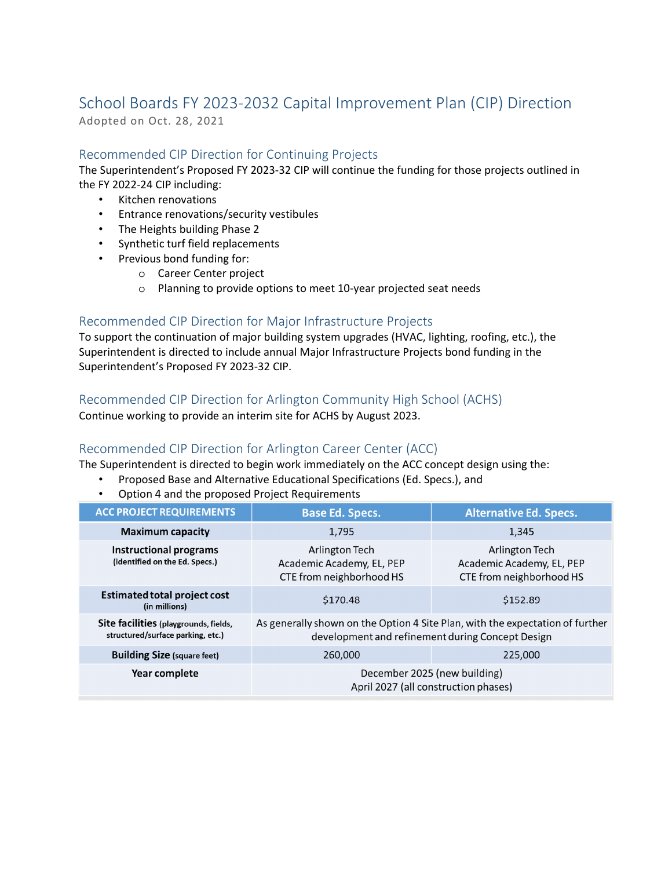# School Boards FY 2023-2032 Capital Improvement Plan (CIP) Direction

Adopted on Oct. 28, 2021

# Recommended CIP Direction for Continuing Projects

The Superintendent's Proposed FY 2023-32 CIP will continue the funding for those projects outlined in the FY 2022-24 CIP including:

- Kitchen renovations
- Entrance renovations/security vestibules
- The Heights building Phase 2
- Synthetic turf field replacements
- Previous bond funding for:
	- o Career Center project
	- o Planning to provide options to meet 10-year projected seat needs

#### Recommended CIP Direction for Major Infrastructure Projects

To support the continuation of major building system upgrades (HVAC, lighting, roofing, etc.), the Superintendent is directed to include annual Major Infrastructure Projects bond funding in the Superintendent's Proposed FY 2023-32 CIP.

#### Recommended CIP Direction for Arlington Community High School (ACHS)

Continue working to provide an interim site for ACHS by August 2023.

### Recommended CIP Direction for Arlington Career Center (ACC)

The Superintendent is directed to begin work immediately on the ACC concept design using the:

- Proposed Base and Alternative Educational Specifications (Ed. Specs.), and
- Option 4 and the proposed Project Requirements

| <b>ACC PROJECT REQUIREMENTS</b>                                            | <b>Base Ed. Specs.</b>                                                                                                            | <b>Alternative Ed. Specs.</b>                                           |
|----------------------------------------------------------------------------|-----------------------------------------------------------------------------------------------------------------------------------|-------------------------------------------------------------------------|
| <b>Maximum capacity</b>                                                    | 1,795                                                                                                                             | 1,345                                                                   |
| <b>Instructional programs</b><br>(identified on the Ed. Specs.)            | Arlington Tech<br>Academic Academy, EL, PEP<br>CTE from neighborhood HS                                                           | Arlington Tech<br>Academic Academy, EL, PEP<br>CTE from neighborhood HS |
| <b>Estimated total project cost</b><br>(in millions)                       | \$170.48                                                                                                                          | \$152.89                                                                |
| Site facilities (playgrounds, fields,<br>structured/surface parking, etc.) | As generally shown on the Option 4 Site Plan, with the expectation of further<br>development and refinement during Concept Design |                                                                         |
| <b>Building Size (square feet)</b>                                         | 260,000                                                                                                                           | 225,000                                                                 |
| Year complete                                                              | December 2025 (new building)<br>April 2027 (all construction phases)                                                              |                                                                         |